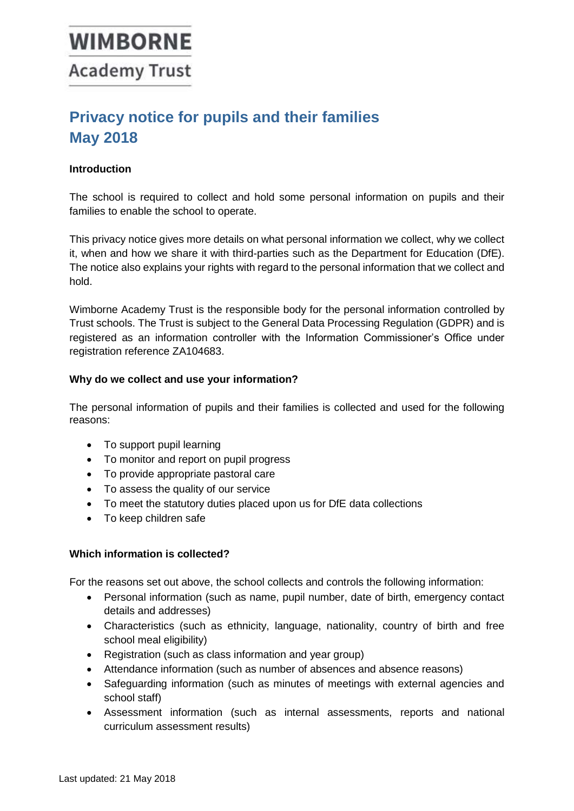# **WIMBORNE Academy Trust**

# **Privacy notice for pupils and their families May 2018**

## **Introduction**

The school is required to collect and hold some personal information on pupils and their families to enable the school to operate.

This privacy notice gives more details on what personal information we collect, why we collect it, when and how we share it with third-parties such as the Department for Education (DfE). The notice also explains your rights with regard to the personal information that we collect and hold.

Wimborne Academy Trust is the responsible body for the personal information controlled by Trust schools. The Trust is subject to the General Data Processing Regulation (GDPR) and is registered as an information controller with the Information Commissioner's Office under registration reference ZA104683.

#### **Why do we collect and use your information?**

The personal information of pupils and their families is collected and used for the following reasons:

- To support pupil learning
- To monitor and report on pupil progress
- To provide appropriate pastoral care
- To assess the quality of our service
- To meet the statutory duties placed upon us for DfE data collections
- To keep children safe

#### **Which information is collected?**

For the reasons set out above, the school collects and controls the following information:

- Personal information (such as name, pupil number, date of birth, emergency contact details and addresses)
- Characteristics (such as ethnicity, language, nationality, country of birth and free school meal eligibility)
- Registration (such as class information and year group)
- Attendance information (such as number of absences and absence reasons)
- Safeguarding information (such as minutes of meetings with external agencies and school staff)
- Assessment information (such as internal assessments, reports and national curriculum assessment results)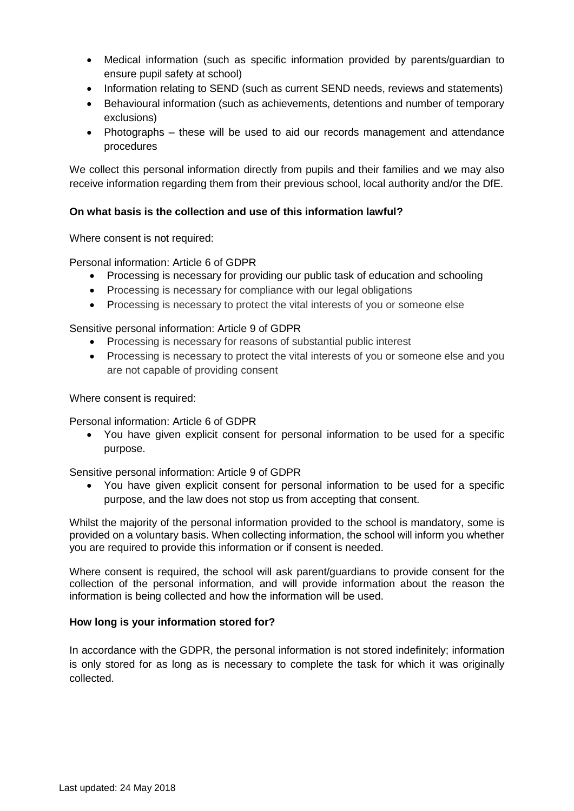- Medical information (such as specific information provided by parents/guardian to ensure pupil safety at school)
- Information relating to SEND (such as current SEND needs, reviews and statements)
- Behavioural information (such as achievements, detentions and number of temporary exclusions)
- Photographs these will be used to aid our records management and attendance procedures

We collect this personal information directly from pupils and their families and we may also receive information regarding them from their previous school, local authority and/or the DfE.

### **On what basis is the collection and use of this information lawful?**

Where consent is not required:

Personal information: Article 6 of GDPR

- Processing is necessary for providing our public task of education and schooling
- Processing is necessary for compliance with our legal obligations
- Processing is necessary to protect the vital interests of you or someone else

#### Sensitive personal information: Article 9 of GDPR

- Processing is necessary for reasons of substantial public interest
- Processing is necessary to protect the vital interests of you or someone else and you are not capable of providing consent

Where consent is required:

Personal information: Article 6 of GDPR

 You have given explicit consent for personal information to be used for a specific purpose.

Sensitive personal information: Article 9 of GDPR

 You have given explicit consent for personal information to be used for a specific purpose, and the law does not stop us from accepting that consent.

Whilst the majority of the personal information provided to the school is mandatory, some is provided on a voluntary basis. When collecting information, the school will inform you whether you are required to provide this information or if consent is needed.

Where consent is required, the school will ask parent/guardians to provide consent for the collection of the personal information, and will provide information about the reason the information is being collected and how the information will be used.

#### **How long is your information stored for?**

In accordance with the GDPR, the personal information is not stored indefinitely; information is only stored for as long as is necessary to complete the task for which it was originally collected.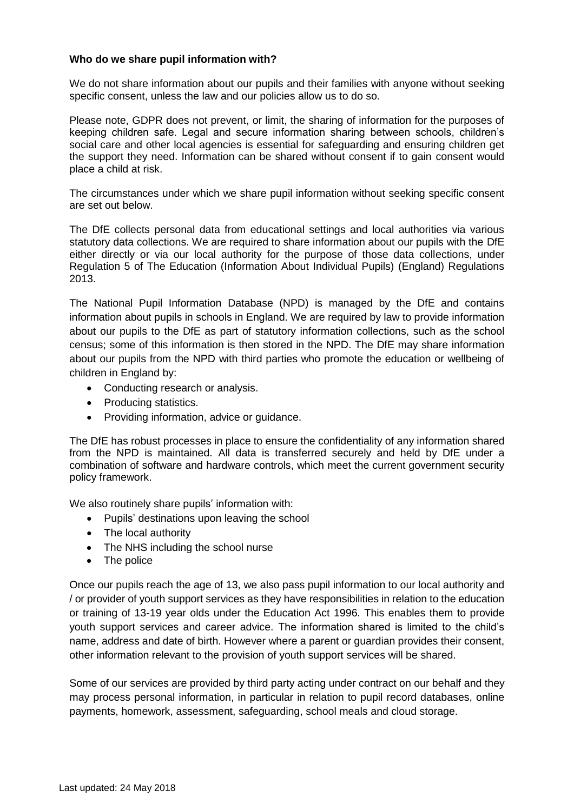#### **Who do we share pupil information with?**

We do not share information about our pupils and their families with anyone without seeking specific consent, unless the law and our policies allow us to do so.

Please note, GDPR does not prevent, or limit, the sharing of information for the purposes of keeping children safe. Legal and secure information sharing between schools, children's social care and other local agencies is essential for safeguarding and ensuring children get the support they need. Information can be shared without consent if to gain consent would place a child at risk.

The circumstances under which we share pupil information without seeking specific consent are set out below.

The DfE collects personal data from educational settings and local authorities via various statutory data collections. We are required to share information about our pupils with the DfE either directly or via our local authority for the purpose of those data collections, under Regulation 5 of The Education (Information About Individual Pupils) (England) Regulations 2013.

The National Pupil Information Database (NPD) is managed by the DfE and contains information about pupils in schools in England. We are required by law to provide information about our pupils to the DfE as part of statutory information collections, such as the school census; some of this information is then stored in the NPD. The DfE may share information about our pupils from the NPD with third parties who promote the education or wellbeing of children in England by:

- Conducting research or analysis.
- Producing statistics.
- Providing information, advice or quidance.

The DfE has robust processes in place to ensure the confidentiality of any information shared from the NPD is maintained. All data is transferred securely and held by DfE under a combination of software and hardware controls, which meet the current government security policy framework.

We also routinely share pupils' information with:

- Pupils' destinations upon leaving the school
- The local authority
- The NHS including the school nurse
- The police

Once our pupils reach the age of 13, we also pass pupil information to our local authority and / or provider of youth support services as they have responsibilities in relation to the education or training of 13-19 year olds under the Education Act 1996. This enables them to provide youth support services and career advice. The information shared is limited to the child's name, address and date of birth. However where a parent or guardian provides their consent, other information relevant to the provision of youth support services will be shared.

Some of our services are provided by third party acting under contract on our behalf and they may process personal information, in particular in relation to pupil record databases, online payments, homework, assessment, safeguarding, school meals and cloud storage.